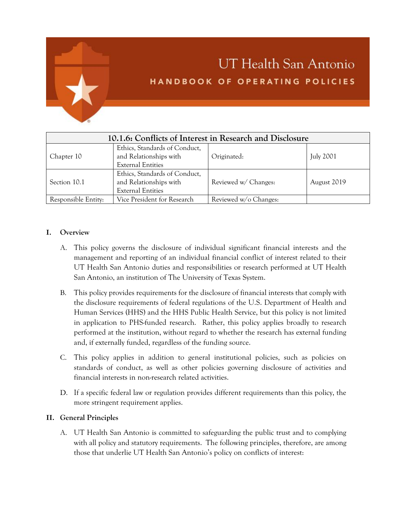

# **UT Health San Antonio** HANDBOOK OF OPERATING POLICIES

| 10.1.6: Conflicts of Interest in Research and Disclosure |                                                                                     |                       |                  |
|----------------------------------------------------------|-------------------------------------------------------------------------------------|-----------------------|------------------|
| Chapter 10                                               | Ethics, Standards of Conduct,<br>and Relationships with<br><b>External Entities</b> | Originated:           | <b>July 2001</b> |
| Section 10.1                                             | Ethics, Standards of Conduct,<br>and Relationships with<br><b>External Entities</b> | Reviewed w/ Changes:  | August 2019      |
| Responsible Entity:                                      | Vice President for Research                                                         | Reviewed w/o Changes: |                  |

## **I. Overview**

- A. This policy governs the disclosure of individual significant financial interests and the management and reporting of an individual financial conflict of interest related to their UT Health San Antonio duties and responsibilities or research performed at UT Health San Antonio, an institution of The University of Texas System.
- B. This policy provides requirements for the disclosure of financial interests that comply with the disclosure requirements of federal regulations of the U.S. Department of Health and Human Services (HHS) and the HHS Public Health Service, but this policy is not limited in application to PHS-funded research. Rather, this policy applies broadly to research performed at the institution, without regard to whether the research has external funding and, if externally funded, regardless of the funding source.
- C. This policy applies in addition to general institutional policies, such as policies on standards of conduct, as well as other policies governing disclosure of activities and financial interests in non-research related activities.
- D. If a specific federal law or regulation provides different requirements than this policy, the more stringent requirement applies.

#### **II. General Principles**

A. UT Health San Antonio is committed to safeguarding the public trust and to complying with all policy and statutory requirements. The following principles, therefore, are among those that underlie UT Health San Antonio's policy on conflicts of interest: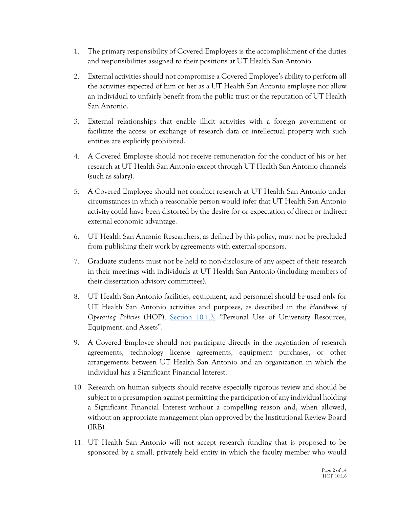- 1. The primary responsibility of Covered Employees is the accomplishment of the duties and responsibilities assigned to their positions at UT Health San Antonio.
- 2. External activities should not compromise a Covered Employee's ability to perform all the activities expected of him or her as a UT Health San Antonio employee nor allow an individual to unfairly benefit from the public trust or the reputation of UT Health San Antonio.
- 3. External relationships that enable illicit activities with a foreign government or facilitate the access or exchange of research data or intellectual property with such entities are explicitly prohibited.
- 4. A Covered Employee should not receive remuneration for the conduct of his or her research at UT Health San Antonio except through UT Health San Antonio channels (such as salary).
- 5. A Covered Employee should not conduct research at UT Health San Antonio under circumstances in which a reasonable person would infer that UT Health San Antonio activity could have been distorted by the desire for or expectation of direct or indirect external economic advantage.
- 6. UT Health San Antonio Researchers, as defined by this policy, must not be precluded from publishing their work by agreements with external sponsors.
- 7. Graduate students must not be held to non-disclosure of any aspect of their research in their meetings with individuals at UT Health San Antonio (including members of their dissertation advisory committees).
- 8. UT Health San Antonio facilities, equipment, and personnel should be used only for UT Health San Antonio activities and purposes, as described in the *Handbook of Operating Policies* (HOP), [Section 10.1.3](https://uthealthsa.sharepoint.com/RAC/Documents/HOP/Chapter10/10.1.3.pdf), "Personal Use of University Resources, Equipment, and Assets".
- 9. A Covered Employee should not participate directly in the negotiation of research agreements, technology license agreements, equipment purchases, or other arrangements between UT Health San Antonio and an organization in which the individual has a Significant Financial Interest.
- 10. Research on human subjects should receive especially rigorous review and should be subject to a presumption against permitting the participation of any individual holding a Significant Financial Interest without a compelling reason and, when allowed, without an appropriate management plan approved by the Institutional Review Board (IRB).
- 11. UT Health San Antonio will not accept research funding that is proposed to be sponsored by a small, privately held entity in which the faculty member who would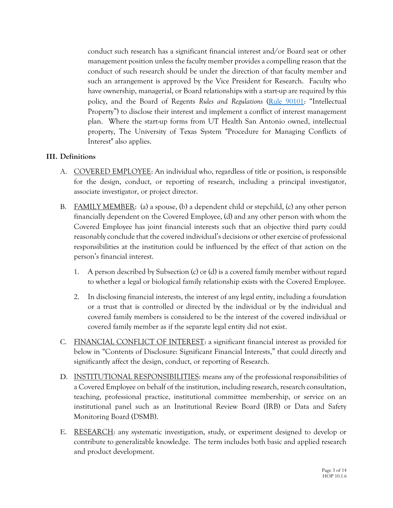conduct such research has a significant financial interest and/or Board seat or other management position unless the faculty member provides a compelling reason that the conduct of such research should be under the direction of that faculty member and such an arrangement is approved by the Vice President for Research. Faculty who have ownership, managerial, or Board relationships with a start-up are required by this policy, and the Board of Regents *Rules and Regulations* ([Rule 90101](https://cms.utsystem.edu/board-of-regents/rules/90101-intellectual-property): "Intellectual Property") to disclose their interest and implement a conflict of interest management plan. Where the start-up forms from UT Health San Antonio owned, intellectual property, The University of Texas System "Procedure for Managing Conflicts of Interest" also applies.

#### **III. Definitions**

- A. COVERED EMPLOYEE: An individual who, regardless of title or position, is responsible for the design, conduct, or reporting of research, including a principal investigator, associate investigator, or project director.
- B. FAMILY MEMBER: (a) a spouse, (b) a dependent child or stepchild, (c) any other person financially dependent on the Covered Employee, (d) and any other person with whom the Covered Employee has joint financial interests such that an objective third party could reasonably conclude that the covered individual's decisions or other exercise of professional responsibilities at the institution could be influenced by the effect of that action on the person's financial interest.
	- 1. A person described by Subsection (c) or (d) is a covered family member without regard to whether a legal or biological family relationship exists with the Covered Employee.
	- 2. In disclosing financial interests, the interest of any legal entity, including a foundation or a trust that is controlled or directed by the individual or by the individual and covered family members is considered to be the interest of the covered individual or covered family member as if the separate legal entity did not exist.
- C. FINANCIAL CONFLICT OF INTEREST: a significant financial interest as provided for below in "Contents of Disclosure: Significant Financial Interests," that could directly and significantly affect the design, conduct, or reporting of Research.
- D. INSTITUTIONAL RESPONSIBILITIES: means any of the professional responsibilities of a Covered Employee on behalf of the institution, including research, research consultation, teaching, professional practice, institutional committee membership, or service on an institutional panel such as an Institutional Review Board (IRB) or Data and Safety Monitoring Board (DSMB).
- E. RESEARCH: any systematic investigation, study, or experiment designed to develop or contribute to generalizable knowledge. The term includes both basic and applied research and product development.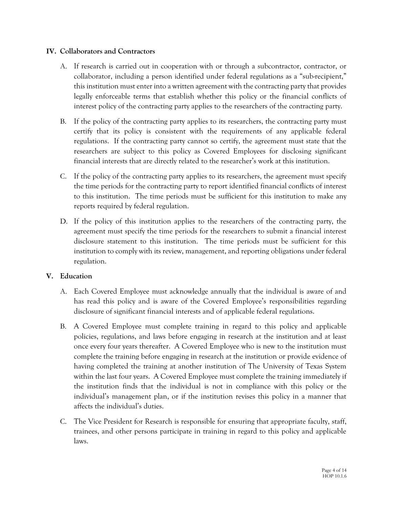#### **IV. Collaborators and Contractors**

- A. If research is carried out in cooperation with or through a subcontractor, contractor, or collaborator, including a person identified under federal regulations as a "sub-recipient," this institution must enter into a written agreement with the contracting party that provides legally enforceable terms that establish whether this policy or the financial conflicts of interest policy of the contracting party applies to the researchers of the contracting party.
- B. If the policy of the contracting party applies to its researchers, the contracting party must certify that its policy is consistent with the requirements of any applicable federal regulations. If the contracting party cannot so certify, the agreement must state that the researchers are subject to this policy as Covered Employees for disclosing significant financial interests that are directly related to the researcher's work at this institution.
- C. If the policy of the contracting party applies to its researchers, the agreement must specify the time periods for the contracting party to report identified financial conflicts of interest to this institution. The time periods must be sufficient for this institution to make any reports required by federal regulation.
- D. If the policy of this institution applies to the researchers of the contracting party, the agreement must specify the time periods for the researchers to submit a financial interest disclosure statement to this institution. The time periods must be sufficient for this institution to comply with its review, management, and reporting obligations under federal regulation.

## **V. Education**

- A. Each Covered Employee must acknowledge annually that the individual is aware of and has read this policy and is aware of the Covered Employee's responsibilities regarding disclosure of significant financial interests and of applicable federal regulations.
- B. A Covered Employee must complete training in regard to this policy and applicable policies, regulations, and laws before engaging in research at the institution and at least once every four years thereafter. A Covered Employee who is new to the institution must complete the training before engaging in research at the institution or provide evidence of having completed the training at another institution of The University of Texas System within the last four years. A Covered Employee must complete the training immediately if the institution finds that the individual is not in compliance with this policy or the individual's management plan, or if the institution revises this policy in a manner that affects the individual's duties.
- C. The Vice President for Research is responsible for ensuring that appropriate faculty, staff, trainees, and other persons participate in training in regard to this policy and applicable laws.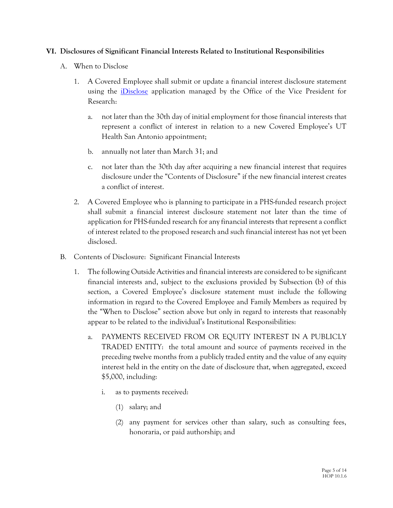#### **VI. Disclosures of Significant Financial Interests Related to Institutional Responsibilities**

- A. When to Disclose
	- 1. A Covered Employee shall submit or update a financial interest disclosure statement using the *[iDisclose](https://vpr.uthscsa.edu/iDisclose/)* application managed by the Office of the Vice President for Research:
		- a. not later than the 30th day of initial employment for those financial interests that represent a conflict of interest in relation to a new Covered Employee's UT Health San Antonio appointment;
		- b. annually not later than March 31; and
		- c. not later than the 30th day after acquiring a new financial interest that requires disclosure under the "Contents of Disclosure" if the new financial interest creates a conflict of interest.
	- 2. A Covered Employee who is planning to participate in a PHS-funded research project shall submit a financial interest disclosure statement not later than the time of application for PHS-funded research for any financial interests that represent a conflict of interest related to the proposed research and such financial interest has not yet been disclosed.
- B. Contents of Disclosure: Significant Financial Interests
	- 1. The following Outside Activities and financial interests are considered to be significant financial interests and, subject to the exclusions provided by Subsection (b) of this section, a Covered Employee's disclosure statement must include the following information in regard to the Covered Employee and Family Members as required by the "When to Disclose" section above but only in regard to interests that reasonably appear to be related to the individual's Institutional Responsibilities:
		- a. PAYMENTS RECEIVED FROM OR EQUITY INTEREST IN A PUBLICLY TRADED ENTITY: the total amount and source of payments received in the preceding twelve months from a publicly traded entity and the value of any equity interest held in the entity on the date of disclosure that, when aggregated, exceed \$5,000, including:
			- i. as to payments received:
				- (1) salary; and
				- (2) any payment for services other than salary, such as consulting fees, honoraria, or paid authorship; and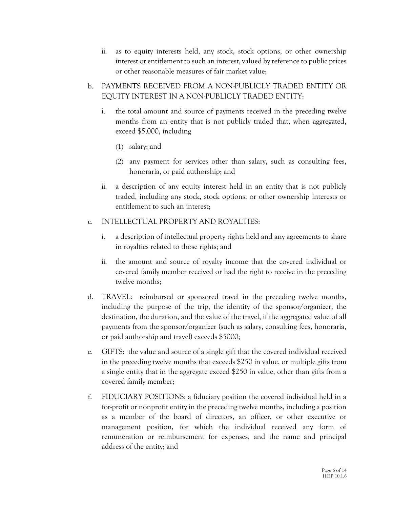- ii. as to equity interests held, any stock, stock options, or other ownership interest or entitlement to such an interest, valued by reference to public prices or other reasonable measures of fair market value;
- b. PAYMENTS RECEIVED FROM A NON-PUBLICLY TRADED ENTITY OR EQUITY INTEREST IN A NON-PUBLICLY TRADED ENTITY:
	- i. the total amount and source of payments received in the preceding twelve months from an entity that is not publicly traded that, when aggregated, exceed \$5,000, including
		- (1) salary; and
		- (2) any payment for services other than salary, such as consulting fees, honoraria, or paid authorship; and
	- ii. a description of any equity interest held in an entity that is not publicly traded, including any stock, stock options, or other ownership interests or entitlement to such an interest;

# c. INTELLECTUAL PROPERTY AND ROYALTIES:

- i. a description of intellectual property rights held and any agreements to share in royalties related to those rights; and
- ii. the amount and source of royalty income that the covered individual or covered family member received or had the right to receive in the preceding twelve months;
- d. TRAVEL: reimbursed or sponsored travel in the preceding twelve months, including the purpose of the trip, the identity of the sponsor/organizer, the destination, the duration, and the value of the travel, if the aggregated value of all payments from the sponsor/organizer (such as salary, consulting fees, honoraria, or paid authorship and travel) exceeds \$5000;
- e. GIFTS: the value and source of a single gift that the covered individual received in the preceding twelve months that exceeds \$250 in value, or multiple gifts from a single entity that in the aggregate exceed \$250 in value, other than gifts from a covered family member;
- f. FIDUCIARY POSITIONS: a fiduciary position the covered individual held in a for-profit or nonprofit entity in the preceding twelve months, including a position as a member of the board of directors, an officer, or other executive or management position, for which the individual received any form of remuneration or reimbursement for expenses, and the name and principal address of the entity; and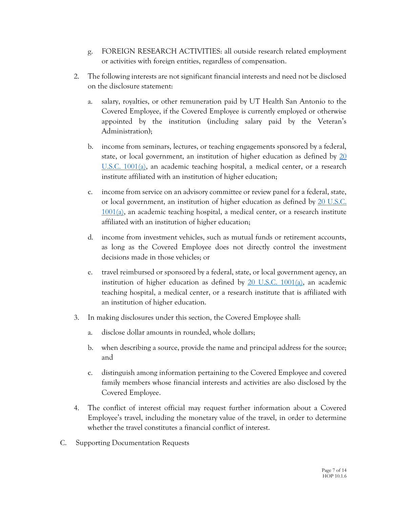- g. FOREIGN RESEARCH ACTIVITIES: all outside research related employment or activities with foreign entities, regardless of compensation.
- 2. The following interests are not significant financial interests and need not be disclosed on the disclosure statement:
	- a. salary, royalties, or other remuneration paid by UT Health San Antonio to the Covered Employee, if the Covered Employee is currently employed or otherwise appointed by the institution (including salary paid by the Veteran's Administration);
	- b. income from seminars, lectures, or teaching engagements sponsored by a federal, state, or local government, an institution of higher education as defined by [20](http://www.law.cornell.edu/uscode/text/20/1001)  [U.S.C. 1001\(a\)](http://www.law.cornell.edu/uscode/text/20/1001), an academic teaching hospital, a medical center, or a research institute affiliated with an institution of higher education;
	- c. income from service on an advisory committee or review panel for a federal, state, or local government, an institution of higher education as defined by [20 U.S.C.](http://www.law.cornell.edu/uscode/text/20/1001)   $1001(a)$ , an academic teaching hospital, a medical center, or a research institute affiliated with an institution of higher education;
	- d. income from investment vehicles, such as mutual funds or retirement accounts, as long as the Covered Employee does not directly control the investment decisions made in those vehicles; or
	- e. travel reimbursed or sponsored by a federal, state, or local government agency, an institution of higher education as defined by  $20$  U.S.C. 1001(a), an academic teaching hospital, a medical center, or a research institute that is affiliated with an institution of higher education.
- 3. In making disclosures under this section, the Covered Employee shall:
	- a. disclose dollar amounts in rounded, whole dollars;
	- b. when describing a source, provide the name and principal address for the source; and
	- c. distinguish among information pertaining to the Covered Employee and covered family members whose financial interests and activities are also disclosed by the Covered Employee.
- 4. The conflict of interest official may request further information about a Covered Employee's travel, including the monetary value of the travel, in order to determine whether the travel constitutes a financial conflict of interest.
- C. Supporting Documentation Requests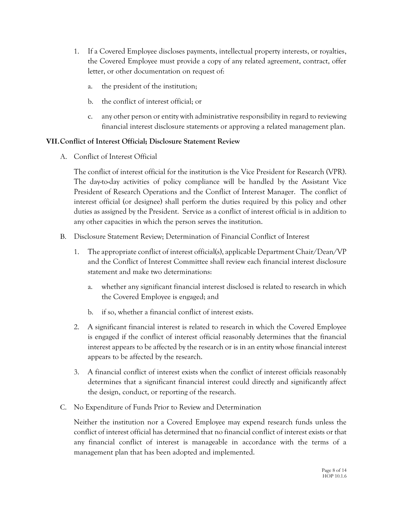- 1. If a Covered Employee discloses payments, intellectual property interests, or royalties, the Covered Employee must provide a copy of any related agreement, contract, offer letter, or other documentation on request of:
	- a. the president of the institution;
	- b. the conflict of interest official; or
	- c. any other person or entity with administrative responsibility in regard to reviewing financial interest disclosure statements or approving a related management plan.

## **VII.Conflict of Interest Official; Disclosure Statement Review**

A. Conflict of Interest Official

The conflict of interest official for the institution is the Vice President for Research (VPR). The day-to-day activities of policy compliance will be handled by the Assistant Vice President of Research Operations and the Conflict of Interest Manager. The conflict of interest official (or designee) shall perform the duties required by this policy and other duties as assigned by the President. Service as a conflict of interest official is in addition to any other capacities in which the person serves the institution.

- B. Disclosure Statement Review; Determination of Financial Conflict of Interest
	- 1. The appropriate conflict of interest official(s), applicable Department Chair/Dean/VP and the Conflict of Interest Committee shall review each financial interest disclosure statement and make two determinations:
		- a. whether any significant financial interest disclosed is related to research in which the Covered Employee is engaged; and
		- b. if so, whether a financial conflict of interest exists.
	- 2. A significant financial interest is related to research in which the Covered Employee is engaged if the conflict of interest official reasonably determines that the financial interest appears to be affected by the research or is in an entity whose financial interest appears to be affected by the research.
	- 3. A financial conflict of interest exists when the conflict of interest officials reasonably determines that a significant financial interest could directly and significantly affect the design, conduct, or reporting of the research.
- C. No Expenditure of Funds Prior to Review and Determination

Neither the institution nor a Covered Employee may expend research funds unless the conflict of interest official has determined that no financial conflict of interest exists or that any financial conflict of interest is manageable in accordance with the terms of a management plan that has been adopted and implemented.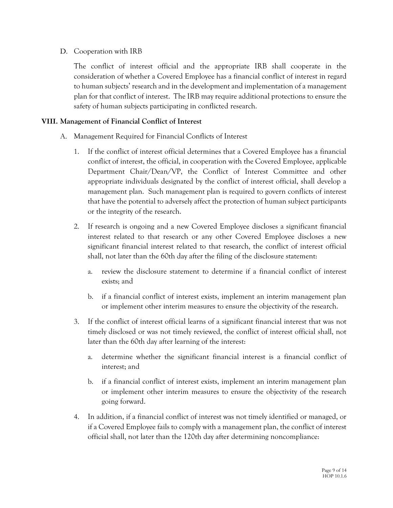#### D. Cooperation with IRB

The conflict of interest official and the appropriate IRB shall cooperate in the consideration of whether a Covered Employee has a financial conflict of interest in regard to human subjects' research and in the development and implementation of a management plan for that conflict of interest. The IRB may require additional protections to ensure the safety of human subjects participating in conflicted research.

#### **VIII. Management of Financial Conflict of Interest**

- A. Management Required for Financial Conflicts of Interest
	- 1. If the conflict of interest official determines that a Covered Employee has a financial conflict of interest, the official, in cooperation with the Covered Employee, applicable Department Chair/Dean/VP, the Conflict of Interest Committee and other appropriate individuals designated by the conflict of interest official, shall develop a management plan. Such management plan is required to govern conflicts of interest that have the potential to adversely affect the protection of human subject participants or the integrity of the research.
	- 2. If research is ongoing and a new Covered Employee discloses a significant financial interest related to that research or any other Covered Employee discloses a new significant financial interest related to that research, the conflict of interest official shall, not later than the 60th day after the filing of the disclosure statement:
		- a. review the disclosure statement to determine if a financial conflict of interest exists; and
		- b. if a financial conflict of interest exists, implement an interim management plan or implement other interim measures to ensure the objectivity of the research.
	- 3. If the conflict of interest official learns of a significant financial interest that was not timely disclosed or was not timely reviewed, the conflict of interest official shall, not later than the 60th day after learning of the interest:
		- a. determine whether the significant financial interest is a financial conflict of interest; and
		- b. if a financial conflict of interest exists, implement an interim management plan or implement other interim measures to ensure the objectivity of the research going forward.
	- 4. In addition, if a financial conflict of interest was not timely identified or managed, or if a Covered Employee fails to comply with a management plan, the conflict of interest official shall, not later than the 120th day after determining noncompliance: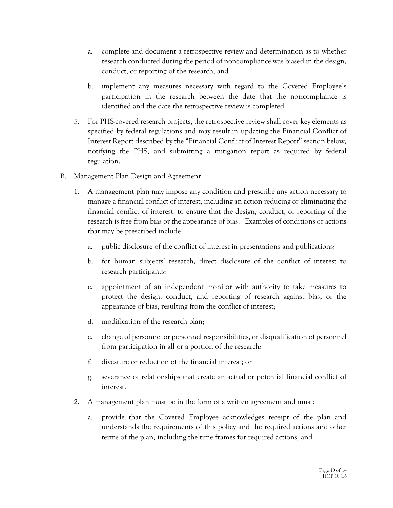- a. complete and document a retrospective review and determination as to whether research conducted during the period of noncompliance was biased in the design, conduct, or reporting of the research; and
- b. implement any measures necessary with regard to the Covered Employee's participation in the research between the date that the noncompliance is identified and the date the retrospective review is completed.
- 5. For PHS-covered research projects, the retrospective review shall cover key elements as specified by federal regulations and may result in updating the Financial Conflict of Interest Report described by the "Financial Conflict of Interest Report" section below, notifying the PHS, and submitting a mitigation report as required by federal regulation.
- B. Management Plan Design and Agreement
	- 1. A management plan may impose any condition and prescribe any action necessary to manage a financial conflict of interest, including an action reducing or eliminating the financial conflict of interest, to ensure that the design, conduct, or reporting of the research is free from bias or the appearance of bias. Examples of conditions or actions that may be prescribed include:
		- a. public disclosure of the conflict of interest in presentations and publications;
		- b. for human subjects' research, direct disclosure of the conflict of interest to research participants;
		- c. appointment of an independent monitor with authority to take measures to protect the design, conduct, and reporting of research against bias, or the appearance of bias, resulting from the conflict of interest;
		- d. modification of the research plan;
		- e. change of personnel or personnel responsibilities, or disqualification of personnel from participation in all or a portion of the research;
		- f. divesture or reduction of the financial interest; or
		- g. severance of relationships that create an actual or potential financial conflict of interest.
	- 2. A management plan must be in the form of a written agreement and must:
		- a. provide that the Covered Employee acknowledges receipt of the plan and understands the requirements of this policy and the required actions and other terms of the plan, including the time frames for required actions; and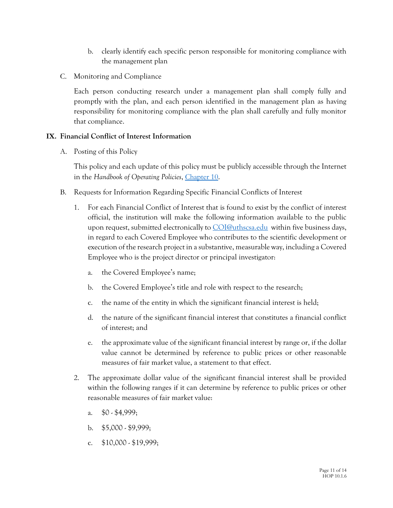- b. clearly identify each specific person responsible for monitoring compliance with the management plan
- C. Monitoring and Compliance

Each person conducting research under a management plan shall comply fully and promptly with the plan, and each person identified in the management plan as having responsibility for monitoring compliance with the plan shall carefully and fully monitor that compliance.

# **IX. Financial Conflict of Interest Information**

A. Posting of this Policy

This policy and each update of this policy must be publicly accessible through the Internet in the *Handbook of Operating Policies*, [Chapter 10](https://uthealthsa.sharepoint.com/RAC/Pages/HOP/10-toc.aspx).

- B. Requests for Information Regarding Specific Financial Conflicts of Interest
	- 1. For each Financial Conflict of Interest that is found to exist by the conflict of interest official, the institution will make the following information available to the public upon request, submitted electronically to [COI@uthscsa.edu](mailto:COI@uthscsa.edu) within five business days, in regard to each Covered Employee who contributes to the scientific development or execution of the research project in a substantive, measurable way, including a Covered Employee who is the project director or principal investigator:
		- a. the Covered Employee's name;
		- b. the Covered Employee's title and role with respect to the research;
		- c. the name of the entity in which the significant financial interest is held;
		- d. the nature of the significant financial interest that constitutes a financial conflict of interest; and
		- e. the approximate value of the significant financial interest by range or, if the dollar value cannot be determined by reference to public prices or other reasonable measures of fair market value, a statement to that effect.
	- 2. The approximate dollar value of the significant financial interest shall be provided within the following ranges if it can determine by reference to public prices or other reasonable measures of fair market value:
		- a. \$0 \$4,999;
		- b. \$5,000 \$9,999;
		- c. \$10,000 \$19,999;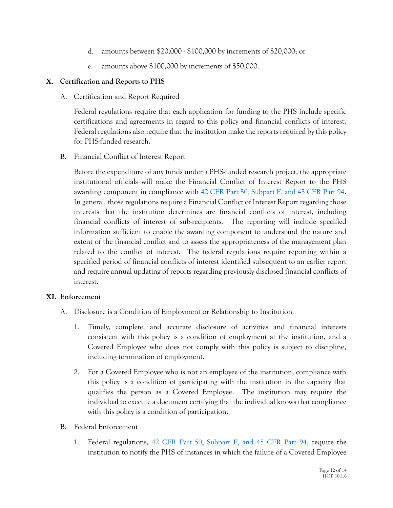- d. amounts between \$20,000 \$100,000 by increments of \$20,000; or
- e. amounts above \$100,000 by increments of \$50,000.

#### **X. Certification and Reports to PHS**

#### A. Certification and Report Required

Federal regulations require that each application for funding to the PHS include specific certifications and agreements in regard to this policy and financial conflicts of interest. Federal regulations also require that the institution make the reports required by this policy for PHS-funded research.

B. Financial Conflict of Interest Report

Before the expenditure of any funds under a PHS-funded research project, the appropriate institutional officials will make the Financial Conflict of Interest Report to the PHS awarding component in compliance with [42 CFR Part 50, Subpart F, and 45 CFR Part 94](http://edocket.access.gpo.gov/2010/pdf/2010-11885.pdf). In general, those regulations require a Financial Conflict of Interest Report regarding those interests that the institution determines are financial conflicts of interest, including financial conflicts of interest of sub-recipients. The reporting will include specified information sufficient to enable the awarding component to understand the nature and extent of the financial conflict and to assess the appropriateness of the management plan related to the conflict of interest. The federal regulations require reporting within a specified period of financial conflicts of interest identified subsequent to an earlier report and require annual updating of reports regarding previously disclosed financial conflicts of interest.

#### **XI. Enforcement**

- A. Disclosure is a Condition of Employment or Relationship to Institution
	- 1. Timely, complete, and accurate disclosure of activities and financial interests consistent with this policy is a condition of employment at the institution, and a Covered Employee who does not comply with this policy is subject to discipline, including termination of employment.
	- 2. For a Covered Employee who is not an employee of the institution, compliance with this policy is a condition of participating with the institution in the capacity that qualifies the person as a Covered Employee. The institution may require the individual to execute a document certifying that the individual knows that compliance with this policy is a condition of participation.
- B. Federal Enforcement
	- 1. Federal regulations, [42 CFR Part 50, Subpart F, and 45 CFR Part 94](http://edocket.access.gpo.gov/2010/pdf/2010-11885.pdf), require the institution to notify the PHS of instances in which the failure of a Covered Employee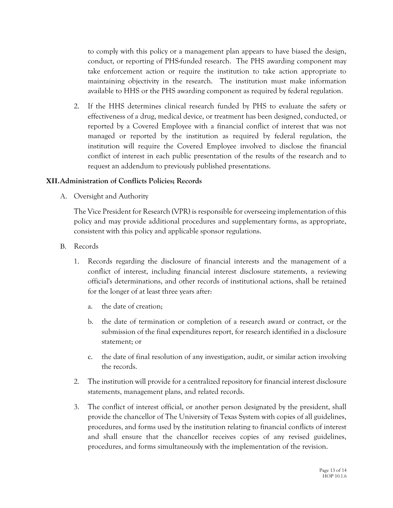to comply with this policy or a management plan appears to have biased the design, conduct, or reporting of PHS-funded research. The PHS awarding component may take enforcement action or require the institution to take action appropriate to maintaining objectivity in the research. The institution must make information available to HHS or the PHS awarding component as required by federal regulation.

2. If the HHS determines clinical research funded by PHS to evaluate the safety or effectiveness of a drug, medical device, or treatment has been designed, conducted, or reported by a Covered Employee with a financial conflict of interest that was not managed or reported by the institution as required by federal regulation, the institution will require the Covered Employee involved to disclose the financial conflict of interest in each public presentation of the results of the research and to request an addendum to previously published presentations.

## **XII.Administration of Conflicts Policies; Records**

A. Oversight and Authority

The Vice President for Research (VPR) is responsible for overseeing implementation of this policy and may provide additional procedures and supplementary forms, as appropriate, consistent with this policy and applicable sponsor regulations.

- B. Records
	- 1. Records regarding the disclosure of financial interests and the management of a conflict of interest, including financial interest disclosure statements, a reviewing official's determinations, and other records of institutional actions, shall be retained for the longer of at least three years after:
		- a. the date of creation;
		- b. the date of termination or completion of a research award or contract, or the submission of the final expenditures report, for research identified in a disclosure statement; or
		- c. the date of final resolution of any investigation, audit, or similar action involving the records.
	- 2. The institution will provide for a centralized repository for financial interest disclosure statements, management plans, and related records.
	- 3. The conflict of interest official, or another person designated by the president, shall provide the chancellor of The University of Texas System with copies of all guidelines, procedures, and forms used by the institution relating to financial conflicts of interest and shall ensure that the chancellor receives copies of any revised guidelines, procedures, and forms simultaneously with the implementation of the revision.